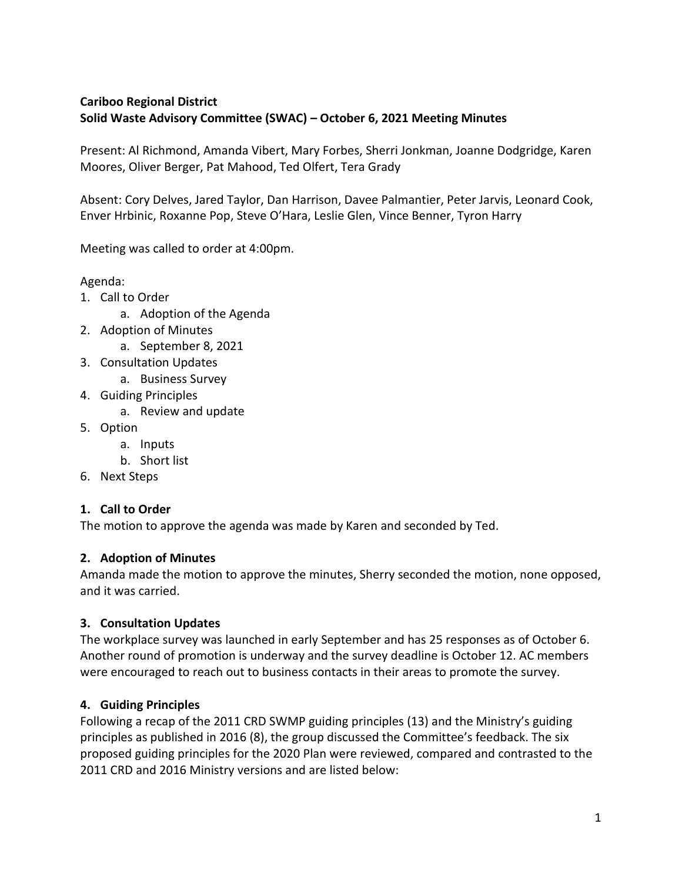# **Cariboo Regional District Solid Waste Advisory Committee (SWAC) – October 6, 2021 Meeting Minutes**

Present: Al Richmond, Amanda Vibert, Mary Forbes, Sherri Jonkman, Joanne Dodgridge, Karen Moores, Oliver Berger, Pat Mahood, Ted Olfert, Tera Grady

Absent: Cory Delves, Jared Taylor, Dan Harrison, Davee Palmantier, Peter Jarvis, Leonard Cook, Enver Hrbinic, Roxanne Pop, Steve O'Hara, Leslie Glen, Vince Benner, Tyron Harry

Meeting was called to order at 4:00pm.

Agenda:

- 1. Call to Order
	- a. Adoption of the Agenda
- 2. Adoption of Minutes
	- a. September 8, 2021
- 3. Consultation Updates
	- a. Business Survey
- 4. Guiding Principles
	- a. Review and update
- 5. Option
	- a. Inputs
	- b. Short list
- 6. Next Steps

## **1. Call to Order**

The motion to approve the agenda was made by Karen and seconded by Ted.

#### **2. Adoption of Minutes**

Amanda made the motion to approve the minutes, Sherry seconded the motion, none opposed, and it was carried.

## **3. Consultation Updates**

The workplace survey was launched in early September and has 25 responses as of October 6. Another round of promotion is underway and the survey deadline is October 12. AC members were encouraged to reach out to business contacts in their areas to promote the survey.

## **4. Guiding Principles**

Following a recap of the 2011 CRD SWMP guiding principles (13) and the Ministry's guiding principles as published in 2016 (8), the group discussed the Committee's feedback. The six proposed guiding principles for the 2020 Plan were reviewed, compared and contrasted to the 2011 CRD and 2016 Ministry versions and are listed below: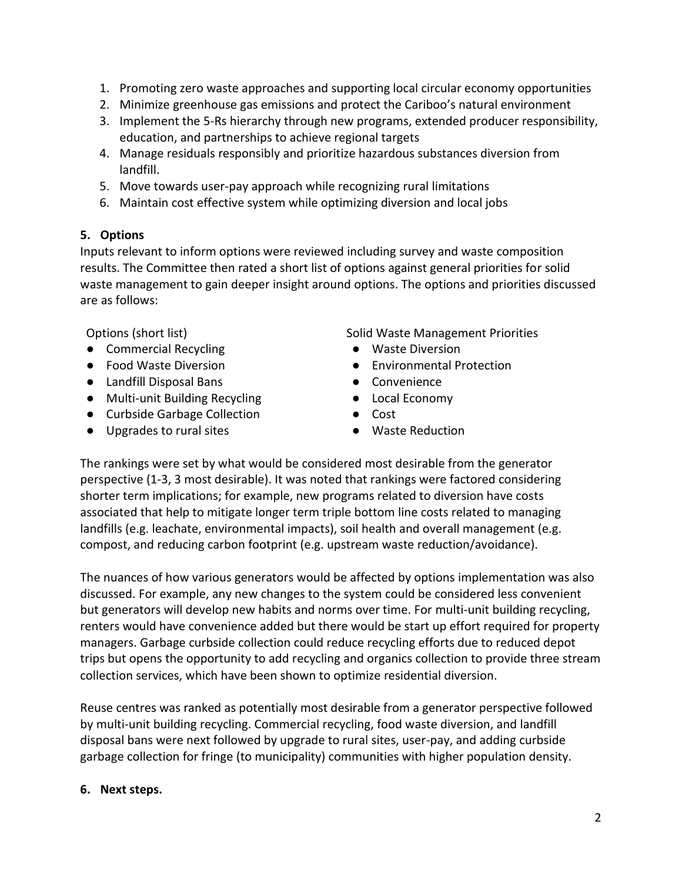- 1. Promoting zero waste approaches and supporting local circular economy opportunities
- 2. Minimize greenhouse gas emissions and protect the Cariboo's natural environment
- 3. Implement the 5-Rs hierarchy through new programs, extended producer responsibility, education, and partnerships to achieve regional targets
- 4. Manage residuals responsibly and prioritize hazardous substances diversion from landfill.
- 5. Move towards user-pay approach while recognizing rural limitations
- 6. Maintain cost effective system while optimizing diversion and local jobs

#### **5. Options**

Inputs relevant to inform options were reviewed including survey and waste composition results. The Committee then rated a short list of options against general priorities for solid waste management to gain deeper insight around options. The options and priorities discussed are as follows:

- Commercial Recycling Waste Diversion
- 
- Landfill Disposal Bans Convenience
- Multi-unit Building Recycling Local Economy
- Curbside Garbage Collection Cost
- Upgrades to rural sites <br>● Waste Reduction

Options (short list) The Solid Waste Management Priorities

- 
- Food Waste Diversion <br>● Environmental Protection
	-
	-
	-
	-

The rankings were set by what would be considered most desirable from the generator perspective (1-3, 3 most desirable). It was noted that rankings were factored considering shorter term implications; for example, new programs related to diversion have costs associated that help to mitigate longer term triple bottom line costs related to managing landfills (e.g. leachate, environmental impacts), soil health and overall management (e.g. compost, and reducing carbon footprint (e.g. upstream waste reduction/avoidance).

The nuances of how various generators would be affected by options implementation was also discussed. For example, any new changes to the system could be considered less convenient but generators will develop new habits and norms over time. For multi-unit building recycling, renters would have convenience added but there would be start up effort required for property managers. Garbage curbside collection could reduce recycling efforts due to reduced depot trips but opens the opportunity to add recycling and organics collection to provide three stream collection services, which have been shown to optimize residential diversion.

Reuse centres was ranked as potentially most desirable from a generator perspective followed by multi-unit building recycling. Commercial recycling, food waste diversion, and landfill disposal bans were next followed by upgrade to rural sites, user-pay, and adding curbside garbage collection for fringe (to municipality) communities with higher population density.

#### **6. Next steps.**